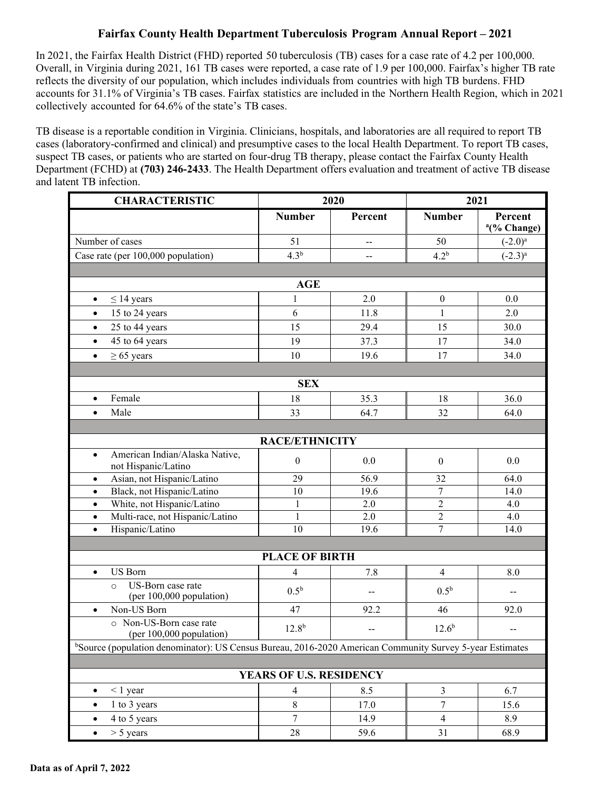## **Fairfax County Health Department Tuberculosis Program Annual Report – 2021**

In 2021, the Fairfax Health District (FHD) reported 50 tuberculosis (TB) cases for a case rate of 4.2 per 100,000. Overall, in Virginia during 2021, 161 TB cases were reported, a case rate of 1.9 per 100,000. Fairfax's higher TB rate reflects the diversity of our population, which includes individuals from countries with high TB burdens. FHD accounts for 31.1% of Virginia's TB cases. Fairfax statistics are included in the Northern Health Region, which in 2021 collectively accounted for 64.6% of the state's TB cases.

TB disease is a reportable condition in Virginia. Clinicians, hospitals, and laboratories are all required to report TB cases (laboratory-confirmed and clinical) and presumptive cases to the local Health Department. To report TB cases, suspect TB cases, or patients who are started on four-drug TB therapy, please contact the Fairfax County Health Department (FCHD) at **(703) 246-2433**. The Health Department offers evaluation and treatment of active TB disease and latent TB infection.

| <b>CHARACTERISTIC</b>                                                                                    | 2020             |         | 2021             |                                    |  |  |  |
|----------------------------------------------------------------------------------------------------------|------------------|---------|------------------|------------------------------------|--|--|--|
|                                                                                                          | <b>Number</b>    | Percent | <b>Number</b>    | Percent<br><sup>a</sup> (% Change) |  |  |  |
| Number of cases                                                                                          | 51               | --      | 50               | $(-2.0)^a$                         |  |  |  |
| Case rate (per 100,000 population)                                                                       | 4.3 <sup>b</sup> |         | 4.2 <sup>b</sup> | $(-2.3)^{a}$                       |  |  |  |
|                                                                                                          |                  |         |                  |                                    |  |  |  |
| <b>AGE</b>                                                                                               |                  |         |                  |                                    |  |  |  |
| $\leq$ 14 years<br>$\bullet$                                                                             | $\mathbf{1}$     | 2.0     | $\boldsymbol{0}$ | 0.0                                |  |  |  |
| 15 to 24 years<br>$\bullet$                                                                              | 6                | 11.8    | 1                | 2.0                                |  |  |  |
| 25 to 44 years<br>$\bullet$                                                                              | 15               | 29.4    | 15               | 30.0                               |  |  |  |
| 45 to 64 years<br>$\bullet$                                                                              | 19               | 37.3    | 17               | 34.0                               |  |  |  |
| $\geq 65$ years<br>$\bullet$                                                                             | 10               | 19.6    | 17               | 34.0                               |  |  |  |
|                                                                                                          |                  |         |                  |                                    |  |  |  |
| <b>SEX</b>                                                                                               |                  |         |                  |                                    |  |  |  |
| Female<br>$\bullet$                                                                                      | 18               | 35.3    | 18               | 36.0                               |  |  |  |
| Male<br>$\bullet$                                                                                        | 33               | 64.7    | 32               | 64.0                               |  |  |  |
|                                                                                                          |                  |         |                  |                                    |  |  |  |
| <b>RACE/ETHNICITY</b>                                                                                    |                  |         |                  |                                    |  |  |  |
| American Indian/Alaska Native,<br>$\bullet$<br>not Hispanic/Latino                                       | $\boldsymbol{0}$ | 0.0     | $\boldsymbol{0}$ | 0.0                                |  |  |  |
| Asian, not Hispanic/Latino<br>$\bullet$                                                                  | $\overline{29}$  | 56.9    | $\overline{32}$  | 64.0                               |  |  |  |
| Black, not Hispanic/Latino<br>$\bullet$                                                                  | 10               | 19.6    | $\boldsymbol{7}$ | 14.0                               |  |  |  |
| White, not Hispanic/Latino<br>$\bullet$                                                                  | 1                | 2.0     | $\overline{2}$   | 4.0                                |  |  |  |
| Multi-race, not Hispanic/Latino<br>$\bullet$                                                             | $\mathbf{1}$     | 2.0     | $\overline{2}$   | 4.0                                |  |  |  |
| Hispanic/Latino<br>$\bullet$                                                                             | 10               | 19.6    | $\overline{7}$   | 14.0                               |  |  |  |
|                                                                                                          |                  |         |                  |                                    |  |  |  |
| <b>PLACE OF BIRTH</b>                                                                                    |                  |         |                  |                                    |  |  |  |
| <b>US</b> Born<br>$\bullet$                                                                              | 4                | 7.8     | $\overline{4}$   | 8.0                                |  |  |  |
| US-Born case rate<br>$\circ$<br>(per 100,000 population)                                                 | 0.5 <sup>b</sup> | $-$     | 0.5 <sup>b</sup> | --                                 |  |  |  |
| Non-US Born<br>$\bullet$                                                                                 | 47               | 92.2    | 46               | 92.0                               |  |  |  |
| o Non-US-Born case rate<br>(per 100,000 population)                                                      | $12.8^{b}$       | $-$     | $12.6^{b}$       | $-$                                |  |  |  |
| bSource (population denominator): US Census Bureau, 2016-2020 American Community Survey 5-year Estimates |                  |         |                  |                                    |  |  |  |
|                                                                                                          |                  |         |                  |                                    |  |  |  |
| YEARS OF U.S. RESIDENCY                                                                                  |                  |         |                  |                                    |  |  |  |
| $< 1$ year<br>$\bullet$                                                                                  | $\overline{4}$   | 8.5     | $\mathfrak{Z}$   | 6.7                                |  |  |  |
| 1 to 3 years<br>$\bullet$                                                                                | $8\,$            | 17.0    | $\boldsymbol{7}$ | 15.6                               |  |  |  |
| 4 to 5 years<br>$\bullet$                                                                                | $\overline{7}$   | 14.9    | $\overline{4}$   | 8.9                                |  |  |  |
| $> 5$ years<br>$\bullet$                                                                                 | 28               | 59.6    | 31               | 68.9                               |  |  |  |